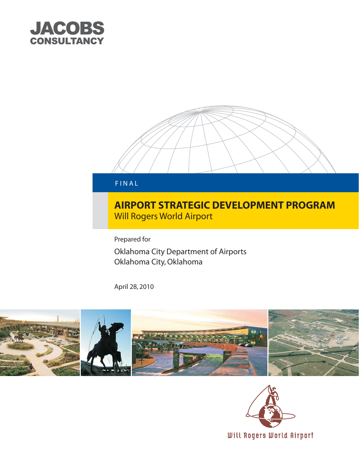



# **AIRPORT STRATEGIC DEVELOPMENT PROGRAM Will Rogers World Airport**

Prepared for

Oklahoma City Department of Airports Oklahoma City, Oklahoma

April 28, 2010



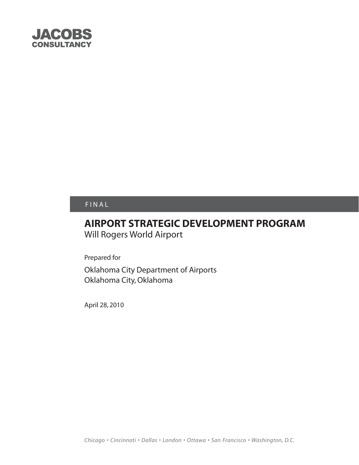

# FINAL

# **AIRPORT STRATEGIC DEVELOPMENT PROGRAM** Will Rogers World Airport

Prepared for

Oklahoma City Department of Airports Oklahoma City, Oklahoma

April 28, 2010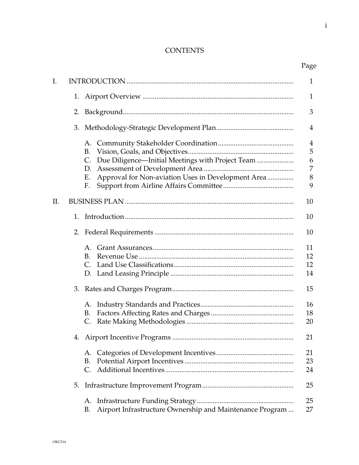## **CONTENTS**

|     |    |                                                                      | $\mathbf{1}$                  |  |
|-----|----|----------------------------------------------------------------------|-------------------------------|--|
| I.  |    |                                                                      |                               |  |
|     | 1. |                                                                      | $\mathbf{1}$                  |  |
|     | 2. |                                                                      | 3                             |  |
|     |    |                                                                      | 4                             |  |
|     |    | B.<br>Due Diligence-Initial Meetings with Project Team<br>C.<br>D.   | $\overline{4}$<br>5<br>6<br>7 |  |
|     |    | Approval for Non-aviation Uses in Development Area<br>Ε.<br>F.       | 8<br>9                        |  |
| II. |    |                                                                      | 10                            |  |
|     | 1. |                                                                      | 10                            |  |
|     |    |                                                                      | 10                            |  |
|     |    | $\mathsf{A}$ .<br>В.<br>$\mathsf{C}$ .                               | 11<br>12<br>12<br>14          |  |
|     |    |                                                                      | 15                            |  |
|     |    | A.<br>В.<br>C.                                                       | 16<br>18<br>20                |  |
|     |    |                                                                      | 21                            |  |
|     |    | A.<br>В.<br>C.                                                       | 21<br>23<br>24                |  |
|     | 5. |                                                                      | 25                            |  |
|     |    | A.<br>Airport Infrastructure Ownership and Maintenance Program<br>В. | 25<br>27                      |  |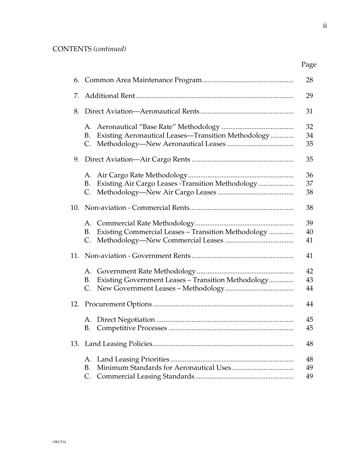| 6.  |                                                                       | 28             |
|-----|-----------------------------------------------------------------------|----------------|
| 7.  |                                                                       |                |
| 8.  |                                                                       |                |
|     | A.<br>Existing Aeronautical Leases-Transition Methodology<br>В.<br>C. | 32<br>34<br>35 |
|     |                                                                       | 35             |
|     | Existing Air Cargo Leases - Transition Methodology<br>B.<br>C.        | 36<br>37<br>38 |
| 10. |                                                                       | 38             |
|     | A.<br>Existing Commercial Leases - Transition Methodology<br>В.<br>C. | 39<br>40<br>41 |
| 11. |                                                                       | 41             |
|     | А.<br>Existing Government Leases - Transition Methodology<br>B.       | 42<br>43<br>44 |
|     |                                                                       | 44             |
|     | В.                                                                    | 45<br>45       |
| 13. |                                                                       | 48             |
|     | А.<br>В.<br>$\mathsf{C}.$                                             | 48<br>49<br>49 |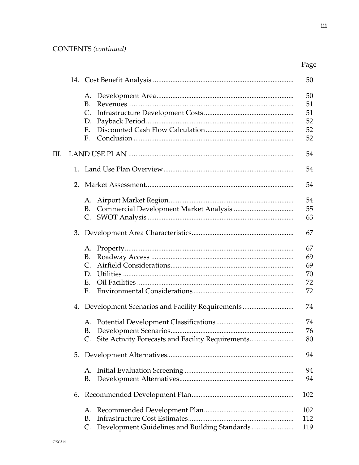|    |    |                                      |                                                      | 50                               |
|----|----|--------------------------------------|------------------------------------------------------|----------------------------------|
|    |    | A.<br>B.<br>C.<br>D.<br>F.<br>F.     |                                                      | 50<br>51<br>51<br>52<br>52<br>52 |
| Ш. |    |                                      |                                                      | 54                               |
|    | 1. |                                      |                                                      | 54                               |
|    | 2. |                                      |                                                      | 54                               |
|    |    | A.<br>B.                             |                                                      | 54<br>55<br>63                   |
|    |    |                                      |                                                      | 67                               |
|    |    | В.<br>C.<br>$\mathbf{D}$<br>F.<br>F. |                                                      | 67<br>69<br>69<br>70<br>72<br>72 |
|    |    |                                      | 4. Development Scenarios and Facility Requirements   | 74                               |
|    |    | В.                                   | C. Site Activity Forecasts and Facility Requirements | 74<br>76<br>80                   |
|    | 5. |                                      |                                                      | 94                               |
|    |    | А.<br>B.                             |                                                      | 94<br>94                         |
|    | 6. |                                      |                                                      | 102                              |
|    |    | А.<br>В.<br>C.                       |                                                      | 102<br>112<br>119                |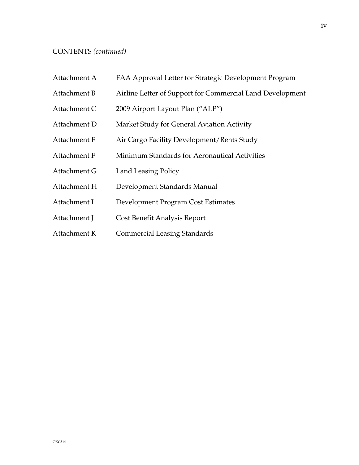#### CONTENTS *(continued)*

- Attachment A FAA Approval Letter for Strategic Development Program
- Attachment B Airline Letter of Support for Commercial Land Development
- Attachment C 2009 Airport Layout Plan ("ALP")
- Attachment D Market Study for General Aviation Activity
- Attachment E Air Cargo Facility Development/Rents Study
- Attachment F Minimum Standards for Aeronautical Activities
- Attachment G Land Leasing Policy
- Attachment H Development Standards Manual
- Attachment I Development Program Cost Estimates
- Attachment J Cost Benefit Analysis Report
- Attachment K Commercial Leasing Standards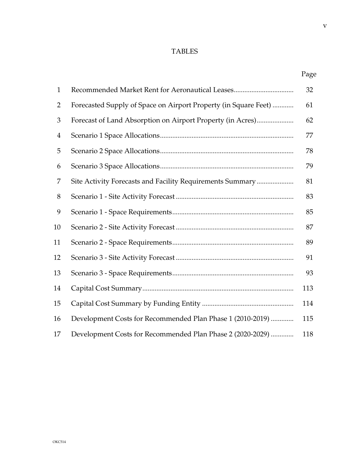### TABLES

| $\mathbf{1}$   |                                                                 | 32  |
|----------------|-----------------------------------------------------------------|-----|
| $\overline{2}$ | Forecasted Supply of Space on Airport Property (in Square Feet) | 61  |
| 3              | Forecast of Land Absorption on Airport Property (in Acres)      | 62  |
| $\overline{4}$ |                                                                 | 77  |
| 5              |                                                                 | 78  |
| 6              |                                                                 | 79  |
| 7              | Site Activity Forecasts and Facility Requirements Summary       | 81  |
| 8              |                                                                 | 83  |
| 9              |                                                                 | 85  |
| 10             |                                                                 | 87  |
| 11             |                                                                 | 89  |
| 12             |                                                                 | 91  |
| 13             |                                                                 | 93  |
| 14             |                                                                 | 113 |
| 15             |                                                                 | 114 |
| 16             | Development Costs for Recommended Plan Phase 1 (2010-2019)      | 115 |
| 17             | Development Costs for Recommended Plan Phase 2 (2020-2029)      | 118 |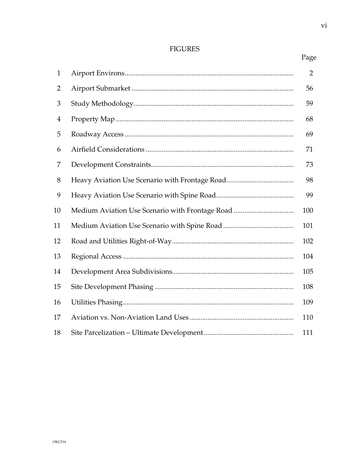### **FIGURES**

 $\rm{vi}$ 

| $\mathbf{1}$   |                                                 | $\overline{2}$ |
|----------------|-------------------------------------------------|----------------|
| $\overline{2}$ |                                                 | 56             |
| 3              |                                                 | 59             |
| $\overline{4}$ |                                                 | 68             |
| 5              |                                                 | 69             |
| 6              |                                                 | 71             |
| 7              |                                                 | 73             |
| 8              |                                                 | 98             |
| 9              |                                                 | 99             |
| 10             | Medium Aviation Use Scenario with Frontage Road | 100            |
| 11             |                                                 | 101            |
| 12             |                                                 | 102            |
| 13             |                                                 | 104            |
| 14             |                                                 | 105            |
| 15             |                                                 | 108            |
| 16             |                                                 | 109            |
| 17             |                                                 | 110            |
| 18             |                                                 | 111            |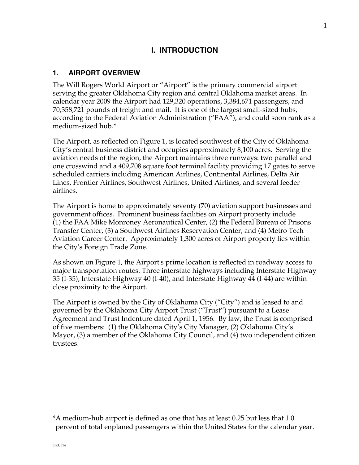## **I. INTRODUCTION**

#### **1. AIRPORT OVERVIEW**

The Will Rogers World Airport or "Airport" is the primary commercial airport serving the greater Oklahoma City region and central Oklahoma market areas. In calendar year 2009 the Airport had 129,320 operations, 3,384,671 passengers, and 70,358,721 pounds of freight and mail. It is one of the largest small-sized hubs, according to the Federal Aviation Administration ("FAA"), and could soon rank as a medium-sized hub.\*

The Airport, as reflected on Figure 1, is located southwest of the City of Oklahoma City's central business district and occupies approximately 8,100 acres. Serving the aviation needs of the region, the Airport maintains three runways: two parallel and one crosswind and a 409,708 square foot terminal facility providing 17 gates to serve scheduled carriers including American Airlines, Continental Airlines, Delta Air Lines, Frontier Airlines, Southwest Airlines, United Airlines, and several feeder airlines.

The Airport is home to approximately seventy (70) aviation support businesses and government offices. Prominent business facilities on Airport property include (1) the FAA Mike Monroney Aeronautical Center, (2) the Federal Bureau of Prisons Transfer Center, (3) a Southwest Airlines Reservation Center, and (4) Metro Tech Aviation Career Center. Approximately 1,300 acres of Airport property lies within the City's Foreign Trade Zone.

As shown on Figure 1, the Airport's prime location is reflected in roadway access to major transportation routes. Three interstate highways including Interstate Highway 35 (I-35), Interstate Highway 40 (I-40), and Interstate Highway 44 (I-44) are within close proximity to the Airport.

The Airport is owned by the City of Oklahoma City ("City") and is leased to and governed by the Oklahoma City Airport Trust ("Trust") pursuant to a Lease Agreement and Trust Indenture dated April 1, 1956. By law, the Trust is comprised of five members: (1) the Oklahoma City's City Manager, (2) Oklahoma City's Mayor, (3) a member of the Oklahoma City Council, and (4) two independent citizen trustees.

i<br>L

<sup>\*</sup>A medium-hub airport is defined as one that has at least 0.25 but less that 1.0 percent of total enplaned passengers within the United States for the calendar year.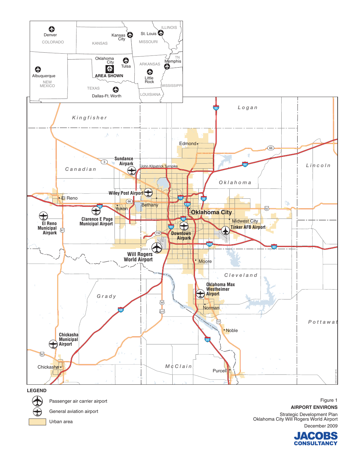

General aviation airport

Urban area

**AIRPORT ENVIRONS** Strategic Development Plan<br>Oklahoma City Will Rogers World Airport December 2009

> ACOBS **CONSULTANCY**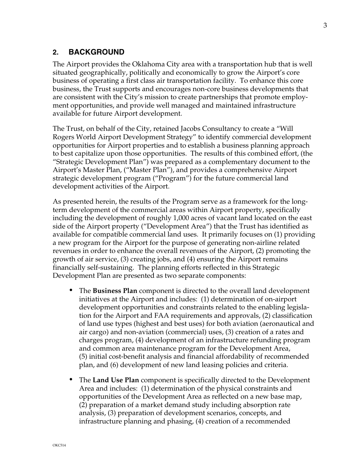## **2. BACKGROUND**

The Airport provides the Oklahoma City area with a transportation hub that is well situated geographically, politically and economically to grow the Airport's core business of operating a first class air transportation facility. To enhance this core business, the Trust supports and encourages non-core business developments that are consistent with the City's mission to create partnerships that promote employment opportunities, and provide well managed and maintained infrastructure available for future Airport development.

The Trust, on behalf of the City, retained Jacobs Consultancy to create a "Will Rogers World Airport Development Strategy" to identify commercial development opportunities for Airport properties and to establish a business planning approach to best capitalize upon those opportunities. The results of this combined effort, (the "Strategic Development Plan") was prepared as a complementary document to the Airport's Master Plan, ("Master Plan"), and provides a comprehensive Airport strategic development program ("Program") for the future commercial land development activities of the Airport.

As presented herein, the results of the Program serve as a framework for the longterm development of the commercial areas within Airport property, specifically including the development of roughly 1,000 acres of vacant land located on the east side of the Airport property ("Development Area") that the Trust has identified as available for compatible commercial land uses. It primarily focuses on (1) providing a new program for the Airport for the purpose of generating non-airline related revenues in order to enhance the overall revenues of the Airport, (2) promoting the growth of air service, (3) creating jobs, and (4) ensuring the Airport remains financially self-sustaining. The planning efforts reflected in this Strategic Development Plan are presented as two separate components:

- *•* The **Business Plan** component is directed to the overall land development initiatives at the Airport and includes: (1) determination of on-airport development opportunities and constraints related to the enabling legislation for the Airport and FAA requirements and approvals, (2) classification of land use types (highest and best uses) for both aviation (aeronautical and air cargo) and non-aviation (commercial) uses, (3) creation of a rates and charges program, (4) development of an infrastructure refunding program and common area maintenance program for the Development Area, (5) initial cost-benefit analysis and financial affordability of recommended plan, and (6) development of new land leasing policies and criteria.
- *•* The **Land Use Plan** component is specifically directed to the Development Area and includes: (1) determination of the physical constraints and opportunities of the Development Area as reflected on a new base map, (2) preparation of a market demand study including absorption rate analysis, (3) preparation of development scenarios, concepts, and infrastructure planning and phasing, (4) creation of a recommended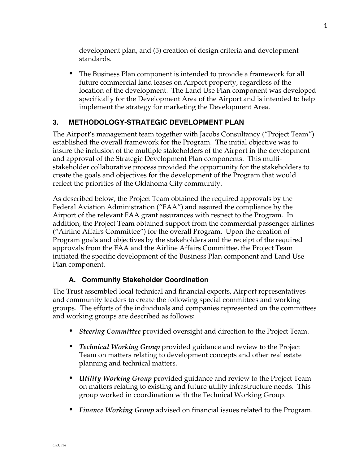development plan, and (5) creation of design criteria and development standards.

*•* The Business Plan component is intended to provide a framework for all future commercial land leases on Airport property, regardless of the location of the development. The Land Use Plan component was developed specifically for the Development Area of the Airport and is intended to help implement the strategy for marketing the Development Area.

## **3. METHODOLOGY-STRATEGIC DEVELOPMENT PLAN**

The Airport's management team together with Jacobs Consultancy ("Project Team") established the overall framework for the Program. The initial objective was to insure the inclusion of the multiple stakeholders of the Airport in the development and approval of the Strategic Development Plan components. This multistakeholder collaborative process provided the opportunity for the stakeholders to create the goals and objectives for the development of the Program that would reflect the priorities of the Oklahoma City community.

As described below, the Project Team obtained the required approvals by the Federal Aviation Administration ("FAA") and assured the compliance by the Airport of the relevant FAA grant assurances with respect to the Program. In addition, the Project Team obtained support from the commercial passenger airlines ("Airline Affairs Committee") for the overall Program. Upon the creation of Program goals and objectives by the stakeholders and the receipt of the required approvals from the FAA and the Airline Affairs Committee, the Project Team initiated the specific development of the Business Plan component and Land Use Plan component.

## **A. Community Stakeholder Coordination**

The Trust assembled local technical and financial experts, Airport representatives and community leaders to create the following special committees and working groups. The efforts of the individuals and companies represented on the committees and working groups are described as follows:

- *• Steering Committee* provided oversight and direction to the Project Team.
- *• Technical Working Group* provided guidance and review to the Project Team on matters relating to development concepts and other real estate planning and technical matters.
- *• Utility Working Group* provided guidance and review to the Project Team on matters relating to existing and future utility infrastructure needs. This group worked in coordination with the Technical Working Group.
- *• Finance Working Group* advised on financial issues related to the Program.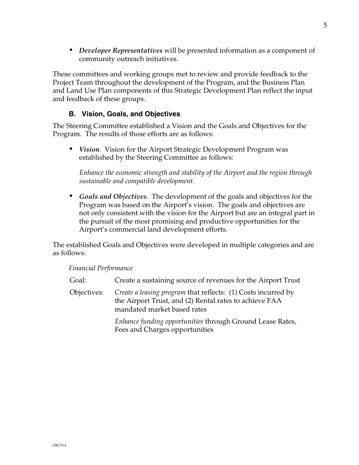*• Developer Representatives* will be presented information as a component of community outreach initiatives.

These committees and working groups met to review and provide feedback to the Project Team throughout the development of the Program, and the Business Plan and Land Use Plan components of this Strategic Development Plan reflect the input and feedback of these groups.

### **B. Vision, Goals, and Objectives**

The Steering Committee established a Vision and the Goals and Objectives for the Program. The results of those efforts are as follows:

*• Vision.* Vision for the Airport Strategic Development Program was established by the Steering Committee as follows:

*Enhance the economic strength and stability of the Airport and the region through sustainable and compatible development.* 

*• Goals and Objectives.* The development of the goals and objectives for the Program was based on the Airport's vision. The goals and objectives are not only consistent with the vision for the Airport but are an integral part in the pursuit of the most promising and productive opportunities for the Airport's commercial land development efforts.

The established Goals and Objectives were developed in multiple categories and are as follows:

*Financial Performance* 

| Goal:       | Create a sustaining source of revenues for the Airport Trust                                                                                           |
|-------------|--------------------------------------------------------------------------------------------------------------------------------------------------------|
| Objectives: | Create a leasing program that reflects: (1) Costs incurred by<br>the Airport Trust, and (2) Rental rates to achieve FAA<br>mandated market based rates |
|             | Enhance funding opportunities through Ground Lease Rates,<br>Fees and Charges opportunities                                                            |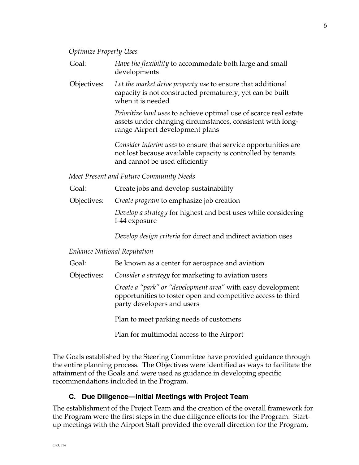#### *Optimize Property Uses*

- Goal: *Have the flexibility* to accommodate both large and small developments
- Objectives: *Let the market drive property use* to ensure that additional capacity is not constructed prematurely, yet can be built when it is needed

*Prioritize land uses* to achieve optimal use of scarce real estate assets under changing circumstances, consistent with longrange Airport development plans

*Consider interim uses* to ensure that service opportunities are not lost because available capacity is controlled by tenants and cannot be used efficiently

*Meet Present and Future Community Needs* 

- Goal: Create jobs and develop sustainability
- Objectives: *Create program* to emphasize job creation

*Develop a strategy* for highest and best uses while considering I-44 exposure

*Develop design criteria* for direct and indirect aviation uses

#### *Enhance National Reputation*

- Goal: Be known as a center for aerospace and aviation
- Objectives: *Consider a strategy* for marketing to aviation users

*Create a "park" or "development area"* with easy development opportunities to foster open and competitive access to third party developers and users

Plan to meet parking needs of customers

Plan for multimodal access to the Airport

The Goals established by the Steering Committee have provided guidance through the entire planning process. The Objectives were identified as ways to facilitate the attainment of the Goals and were used as guidance in developing specific recommendations included in the Program.

#### **C. Due Diligence—Initial Meetings with Project Team**

The establishment of the Project Team and the creation of the overall framework for the Program were the first steps in the due diligence efforts for the Program. Startup meetings with the Airport Staff provided the overall direction for the Program,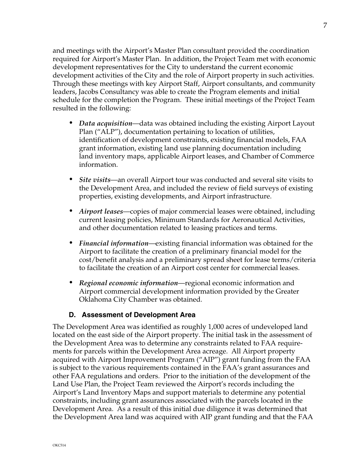and meetings with the Airport's Master Plan consultant provided the coordination required for Airport's Master Plan. In addition, the Project Team met with economic development representatives for the City to understand the current economic development activities of the City and the role of Airport property in such activities. Through these meetings with key Airport Staff, Airport consultants, and community leaders, Jacobs Consultancy was able to create the Program elements and initial schedule for the completion the Program. These initial meetings of the Project Team resulted in the following:

- *• Data acquisition*—data was obtained including the existing Airport Layout Plan ("ALP"), documentation pertaining to location of utilities, identification of development constraints, existing financial models, FAA grant information, existing land use planning documentation including land inventory maps, applicable Airport leases, and Chamber of Commerce information.
- *• Site visits*—an overall Airport tour was conducted and several site visits to the Development Area, and included the review of field surveys of existing properties, existing developments, and Airport infrastructure.
- *• Airport leases*—copies of major commercial leases were obtained, including current leasing policies, Minimum Standards for Aeronautical Activities, and other documentation related to leasing practices and terms.
- *• Financial information*—existing financial information was obtained for the Airport to facilitate the creation of a preliminary financial model for the cost/benefit analysis and a preliminary spread sheet for lease terms/criteria to facilitate the creation of an Airport cost center for commercial leases.
- *• Regional economic information*—regional economic information and Airport commercial development information provided by the Greater Oklahoma City Chamber was obtained.

#### **D. Assessment of Development Area**

The Development Area was identified as roughly 1,000 acres of undeveloped land located on the east side of the Airport property. The initial task in the assessment of the Development Area was to determine any constraints related to FAA requirements for parcels within the Development Area acreage. All Airport property acquired with Airport Improvement Program ("AIP") grant funding from the FAA is subject to the various requirements contained in the FAA's grant assurances and other FAA regulations and orders. Prior to the initiation of the development of the Land Use Plan, the Project Team reviewed the Airport's records including the Airport's Land Inventory Maps and support materials to determine any potential constraints, including grant assurances associated with the parcels located in the Development Area. As a result of this initial due diligence it was determined that the Development Area land was acquired with AIP grant funding and that the FAA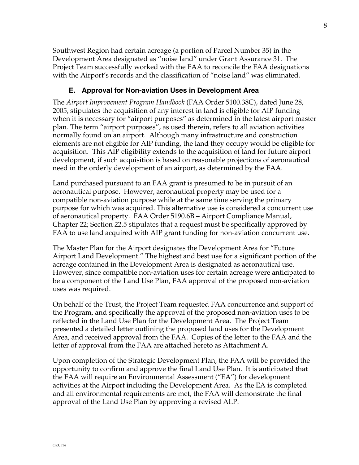Southwest Region had certain acreage (a portion of Parcel Number 35) in the Development Area designated as "noise land" under Grant Assurance 31. The Project Team successfully worked with the FAA to reconcile the FAA designations with the Airport's records and the classification of "noise land" was eliminated.

## **E. Approval for Non-aviation Uses in Development Area**

The *Airport Improvement Program Handbook* (FAA Order 5100.38C), dated June 28, 2005, stipulates the acquisition of any interest in land is eligible for AIP funding when it is necessary for "airport purposes" as determined in the latest airport master plan. The term "airport purposes", as used therein, refers to all aviation activities normally found on an airport. Although many infrastructure and construction elements are not eligible for AIP funding, the land they occupy would be eligible for acquisition. This AIP eligibility extends to the acquisition of land for future airport development, if such acquisition is based on reasonable projections of aeronautical need in the orderly development of an airport, as determined by the FAA.

Land purchased pursuant to an FAA grant is presumed to be in pursuit of an aeronautical purpose. However, aeronautical property may be used for a compatible non-aviation purpose while at the same time serving the primary purpose for which was acquired. This alternative use is considered a concurrent use of aeronautical property. FAA Order 5190.6B – Airport Compliance Manual, Chapter 22; Section 22.5 stipulates that a request must be specifically approved by FAA to use land acquired with AIP grant funding for non-aviation concurrent use.

The Master Plan for the Airport designates the Development Area for "Future Airport Land Development." The highest and best use for a significant portion of the acreage contained in the Development Area is designated as aeronautical use. However, since compatible non-aviation uses for certain acreage were anticipated to be a component of the Land Use Plan, FAA approval of the proposed non-aviation uses was required.

On behalf of the Trust, the Project Team requested FAA concurrence and support of the Program, and specifically the approval of the proposed non-aviation uses to be reflected in the Land Use Plan for the Development Area. The Project Team presented a detailed letter outlining the proposed land uses for the Development Area, and received approval from the FAA. Copies of the letter to the FAA and the letter of approval from the FAA are attached hereto as Attachment A.

Upon completion of the Strategic Development Plan, the FAA will be provided the opportunity to confirm and approve the final Land Use Plan. It is anticipated that the FAA will require an Environmental Assessment ("EA") for development activities at the Airport including the Development Area. As the EA is completed and all environmental requirements are met, the FAA will demonstrate the final approval of the Land Use Plan by approving a revised ALP.